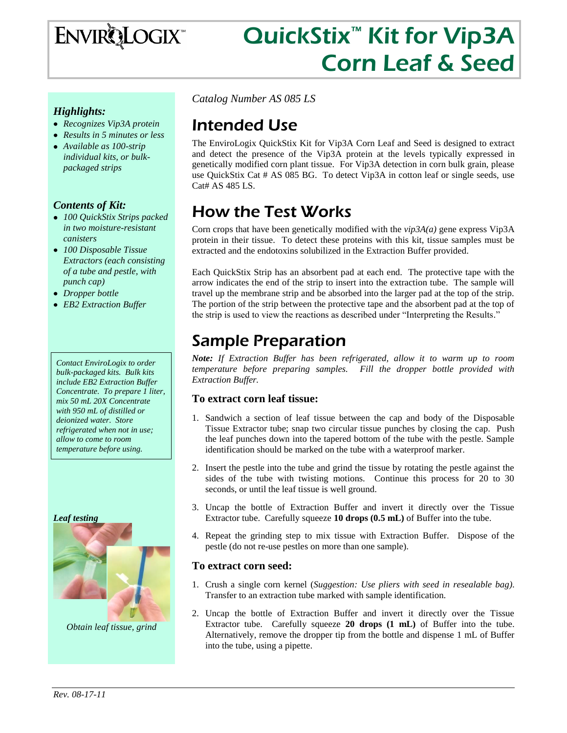

# QuickStix<sup>™</sup> Kit for Vip3A Corn Leaf & Seed

### *Highlights:*

- *Recognizes Vip3A protein*
- *Results in 5 minutes or less*
- *Available as 100-strip individual kits, or bulkpackaged strips*

### *Contents of Kit:*

- *100 QuickStix Strips packed in two moisture-resistant canisters*
- *100 Disposable Tissue Extractors (each consisting of a tube and pestle, with punch cap)*
- *Dropper bottle*
- *EB2 Extraction Buffer*

*Contact EnviroLogix to order bulk-packaged kits. Bulk kits include EB2 Extraction Buffer Concentrate. To prepare 1 liter, mix 50 mL 20X Concentrate with 950 mL of distilled or deionized water. Store refrigerated when not in use; allow to come to room temperature before using.*

*Leaf testing*



*Obtain leaf tissue, grind*

*Catalog Number AS 085 LS*

# Intended Use

The EnviroLogix QuickStix Kit for Vip3A Corn Leaf and Seed is designed to extract and detect the presence of the Vip3A protein at the levels typically expressed in genetically modified corn plant tissue. For Vip3A detection in corn bulk grain, please use QuickStix Cat # AS 085 BG. To detect Vip3A in cotton leaf or single seeds, use Cat# AS 485 LS.

# How the Test Works

Corn crops that have been genetically modified with the *vip3A(a)* gene express Vip3A protein in their tissue. To detect these proteins with this kit, tissue samples must be extracted and the endotoxins solubilized in the Extraction Buffer provided.

Each QuickStix Strip has an absorbent pad at each end. The protective tape with the arrow indicates the end of the strip to insert into the extraction tube. The sample will travel up the membrane strip and be absorbed into the larger pad at the top of the strip. The portion of the strip between the protective tape and the absorbent pad at the top of the strip is used to view the reactions as described under "Interpreting the Results."

## Sample Preparation

*Note: If Extraction Buffer has been refrigerated, allow it to warm up to room temperature before preparing samples. Fill the dropper bottle provided with Extraction Buffer.*

### **To extract corn leaf tissue:**

- 1. Sandwich a section of leaf tissue between the cap and body of the Disposable Tissue Extractor tube; snap two circular tissue punches by closing the cap. Push the leaf punches down into the tapered bottom of the tube with the pestle. Sample identification should be marked on the tube with a waterproof marker.
- 2. Insert the pestle into the tube and grind the tissue by rotating the pestle against the sides of the tube with twisting motions. Continue this process for 20 to 30 seconds, or until the leaf tissue is well ground.
- 3. Uncap the bottle of Extraction Buffer and invert it directly over the Tissue Extractor tube. Carefully squeeze **10 drops (0.5 mL)** of Buffer into the tube.
- 4. Repeat the grinding step to mix tissue with Extraction Buffer. Dispose of the pestle (do not re-use pestles on more than one sample).

### **To extract corn seed:**

- 1. Crush a single corn kernel (*Suggestion: Use pliers with seed in resealable bag)*. Transfer to an extraction tube marked with sample identification.
- 2. Uncap the bottle of Extraction Buffer and invert it directly over the Tissue Extractor tube. Carefully squeeze **20 drops (1 mL)** of Buffer into the tube. Alternatively, remove the dropper tip from the bottle and dispense 1 mL of Buffer into the tube, using a pipette.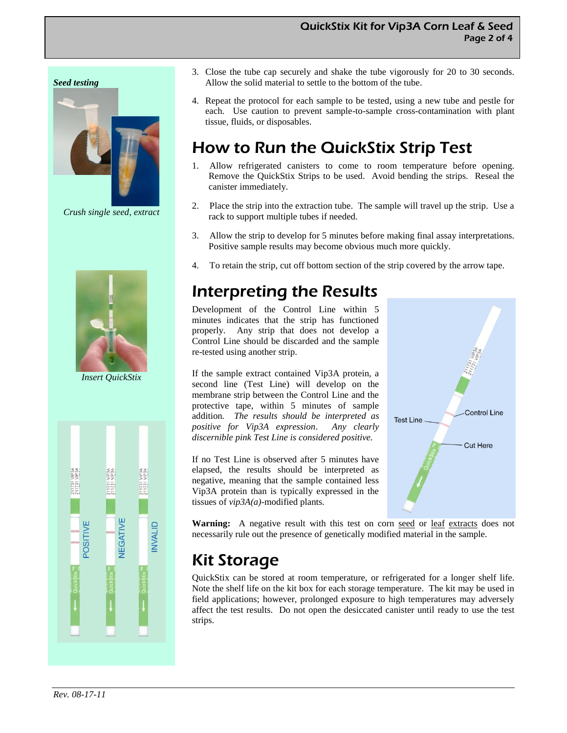#### *Seed testing*



*Crush single seed, extract*



*Insert QuickStix*



- 3. Close the tube cap securely and shake the tube vigorously for 20 to 30 seconds. Allow the solid material to settle to the bottom of the tube.
- 4. Repeat the protocol for each sample to be tested, using a new tube and pestle for each. Use caution to prevent sample-to-sample cross-contamination with plant tissue, fluids, or disposables.

# How to Run the QuickStix Strip Test

- 1. Allow refrigerated canisters to come to room temperature before opening. Remove the QuickStix Strips to be used. Avoid bending the strips. Reseal the canister immediately.
- 2. Place the strip into the extraction tube. The sample will travel up the strip. Use a rack to support multiple tubes if needed.
- 3. Allow the strip to develop for 5 minutes before making final assay interpretations. Positive sample results may become obvious much more quickly.
- 4. To retain the strip, cut off bottom section of the strip covered by the arrow tape.

### Interpreting the Results

Development of the Control Line within 5 minutes indicates that the strip has functioned properly. Any strip that does not develop a Control Line should be discarded and the sample re-tested using another strip.

If the sample extract contained Vip3A protein, a second line (Test Line) will develop on the membrane strip between the Control Line and the protective tape, within 5 minutes of sample addition*. The results should be interpreted as positive for Vip3A expression*. *Any clearly discernible pink Test Line is considered positive.*

If no Test Line is observed after 5 minutes have elapsed, the results should be interpreted as negative, meaning that the sample contained less Vip3A protein than is typically expressed in the tissues of *vip3A(a)*-modified plants.



Warning: A negative result with this test on corn seed or leaf extracts does not necessarily rule out the presence of genetically modified material in the sample.

# Kit Storage

QuickStix can be stored at room temperature, or refrigerated for a longer shelf life. Note the shelf life on the kit box for each storage temperature. The kit may be used in field applications; however, prolonged exposure to high temperatures may adversely affect the test results. Do not open the desiccated canister until ready to use the test strips.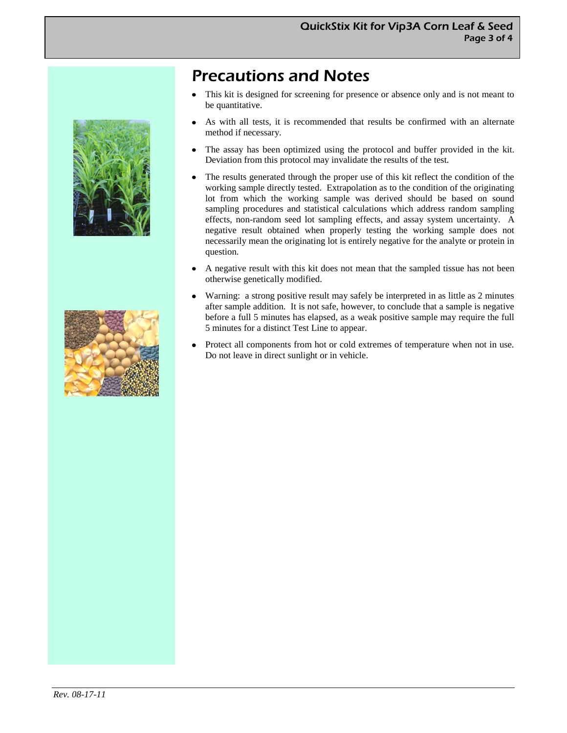## Precautions and Notes

- This kit is designed for screening for presence or absence only and is not meant to  $\bullet$ be quantitative.
- As with all tests, it is recommended that results be confirmed with an alternate method if necessary.
- The assay has been optimized using the protocol and buffer provided in the kit.  $\bullet$ Deviation from this protocol may invalidate the results of the test.
- The results generated through the proper use of this kit reflect the condition of the working sample directly tested. Extrapolation as to the condition of the originating lot from which the working sample was derived should be based on sound sampling procedures and statistical calculations which address random sampling effects, non-random seed lot sampling effects, and assay system uncertainty. A negative result obtained when properly testing the working sample does not necessarily mean the originating lot is entirely negative for the analyte or protein in question.
- $\bullet$ A negative result with this kit does not mean that the sampled tissue has not been otherwise genetically modified.
- Warning: a strong positive result may safely be interpreted in as little as 2 minutes  $\bullet$ after sample addition. It is not safe, however, to conclude that a sample is negative before a full 5 minutes has elapsed, as a weak positive sample may require the full 5 minutes for a distinct Test Line to appear.
- Protect all components from hot or cold extremes of temperature when not in use. Do not leave in direct sunlight or in vehicle.